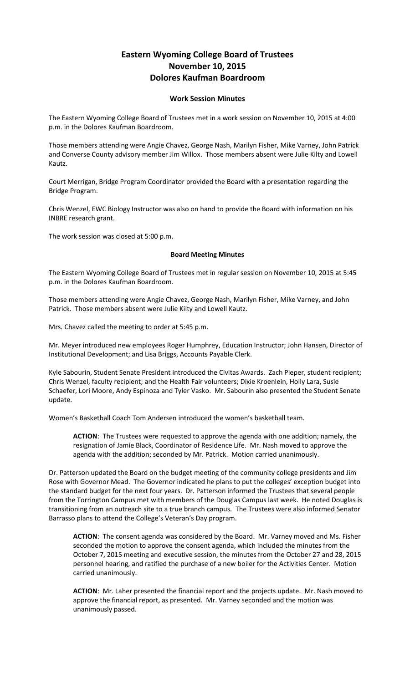## **Eastern Wyoming College Board of Trustees November 10, 2015 Dolores Kaufman Boardroom**

## **Work Session Minutes**

The Eastern Wyoming College Board of Trustees met in a work session on November 10, 2015 at 4:00 p.m. in the Dolores Kaufman Boardroom.

Those members attending were Angie Chavez, George Nash, Marilyn Fisher, Mike Varney, John Patrick and Converse County advisory member Jim Willox. Those members absent were Julie Kilty and Lowell Kautz.

Court Merrigan, Bridge Program Coordinator provided the Board with a presentation regarding the Bridge Program.

Chris Wenzel, EWC Biology Instructor was also on hand to provide the Board with information on his INBRE research grant.

The work session was closed at 5:00 p.m.

## **Board Meeting Minutes**

The Eastern Wyoming College Board of Trustees met in regular session on November 10, 2015 at 5:45 p.m. in the Dolores Kaufman Boardroom.

Those members attending were Angie Chavez, George Nash, Marilyn Fisher, Mike Varney, and John Patrick. Those members absent were Julie Kilty and Lowell Kautz.

Mrs. Chavez called the meeting to order at 5:45 p.m.

Mr. Meyer introduced new employees Roger Humphrey, Education Instructor; John Hansen, Director of Institutional Development; and Lisa Briggs, Accounts Payable Clerk.

Kyle Sabourin, Student Senate President introduced the Civitas Awards. Zach Pieper, student recipient; Chris Wenzel, faculty recipient; and the Health Fair volunteers; Dixie Kroenlein, Holly Lara, Susie Schaefer, Lori Moore, Andy Espinoza and Tyler Vasko. Mr. Sabourin also presented the Student Senate update.

Women's Basketball Coach Tom Andersen introduced the women's basketball team.

**ACTION**: The Trustees were requested to approve the agenda with one addition; namely, the resignation of Jamie Black, Coordinator of Residence Life. Mr. Nash moved to approve the agenda with the addition; seconded by Mr. Patrick. Motion carried unanimously.

Dr. Patterson updated the Board on the budget meeting of the community college presidents and Jim Rose with Governor Mead. The Governor indicated he plans to put the colleges' exception budget into the standard budget for the next four years. Dr. Patterson informed the Trustees that several people from the Torrington Campus met with members of the Douglas Campus last week. He noted Douglas is transitioning from an outreach site to a true branch campus. The Trustees were also informed Senator Barrasso plans to attend the College's Veteran's Day program.

**ACTION**: The consent agenda was considered by the Board. Mr. Varney moved and Ms. Fisher seconded the motion to approve the consent agenda, which included the minutes from the October 7, 2015 meeting and executive session, the minutes from the October 27 and 28, 2015 personnel hearing, and ratified the purchase of a new boiler for the Activities Center. Motion carried unanimously.

**ACTION**: Mr. Laher presented the financial report and the projects update. Mr. Nash moved to approve the financial report, as presented. Mr. Varney seconded and the motion was unanimously passed.